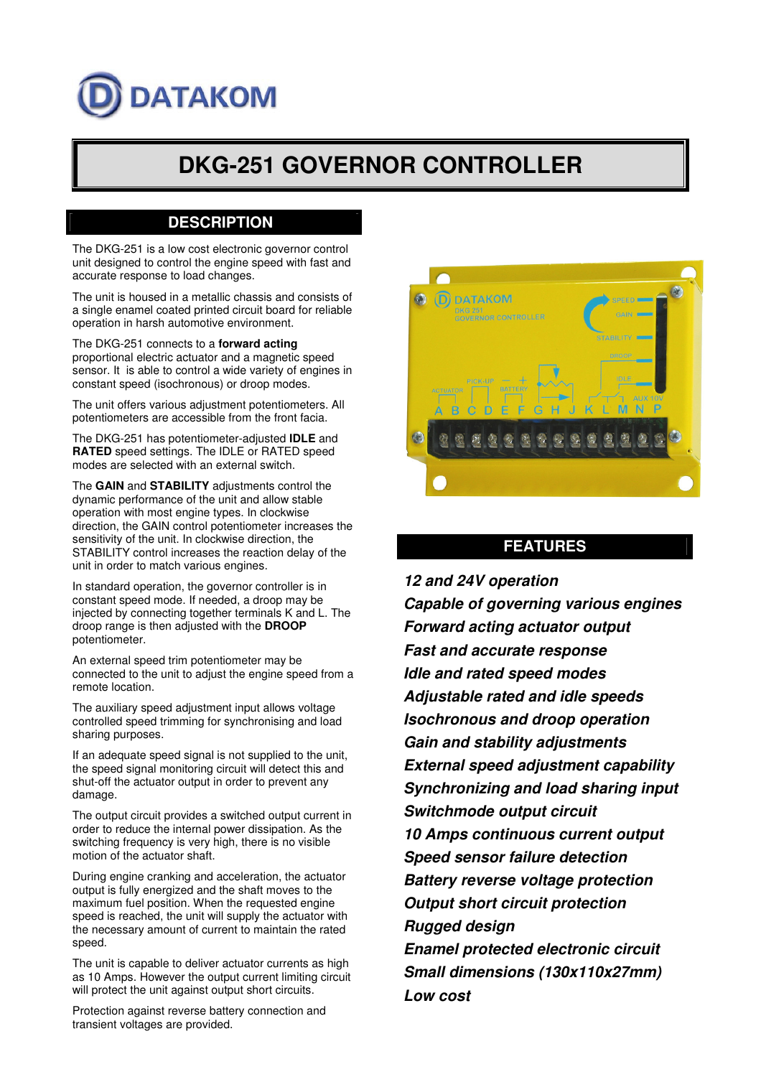# **DATAKOM**

## **DKG-251 GOVERNOR CONTROLLER**

#### **DESCRIPTION**

The DKG-251 is a low cost electronic governor control unit designed to control the engine speed with fast and accurate response to load changes.

The unit is housed in a metallic chassis and consists of a single enamel coated printed circuit board for reliable operation in harsh automotive environment.

The DKG-251 connects to a **forward acting** proportional electric actuator and a magnetic speed sensor. It is able to control a wide variety of engines in constant speed (isochronous) or droop modes.

The unit offers various adjustment potentiometers. All potentiometers are accessible from the front facia.

The DKG-251 has potentiometer-adjusted **IDLE** and **RATED** speed settings. The IDLE or RATED speed modes are selected with an external switch.

The **GAIN** and **STABILITY** adjustments control the dynamic performance of the unit and allow stable operation with most engine types. In clockwise direction, the GAIN control potentiometer increases the sensitivity of the unit. In clockwise direction, the STABILITY control increases the reaction delay of the unit in order to match various engines.

In standard operation, the governor controller is in constant speed mode. If needed, a droop may be injected by connecting together terminals K and L. The droop range is then adjusted with the **DROOP** potentiometer.

An external speed trim potentiometer may be connected to the unit to adjust the engine speed from a remote location.

The auxiliary speed adjustment input allows voltage controlled speed trimming for synchronising and load sharing purposes.

If an adequate speed signal is not supplied to the unit, the speed signal monitoring circuit will detect this and shut-off the actuator output in order to prevent any damage.

The output circuit provides a switched output current in order to reduce the internal power dissipation. As the switching frequency is very high, there is no visible motion of the actuator shaft.

During engine cranking and acceleration, the actuator output is fully energized and the shaft moves to the maximum fuel position. When the requested engine speed is reached, the unit will supply the actuator with the necessary amount of current to maintain the rated speed.

The unit is capable to deliver actuator currents as high as 10 Amps. However the output current limiting circuit will protect the unit against output short circuits.

Protection against reverse battery connection and transient voltages are provided.



#### **FEATURES**

*12 and 24V operation Capable of governing various engines Forward acting actuator output Fast and accurate response Idle and rated speed modes Adjustable rated and idle speeds Isochronous and droop operation Gain and stability adjustments External speed adjustment capability Synchronizing and load sharing input Switchmode output circuit 10 Amps continuous current output Speed sensor failure detection Battery reverse voltage protection Output short circuit protection Rugged design Enamel protected electronic circuit Small dimensions (130x110x27mm) Low cost*